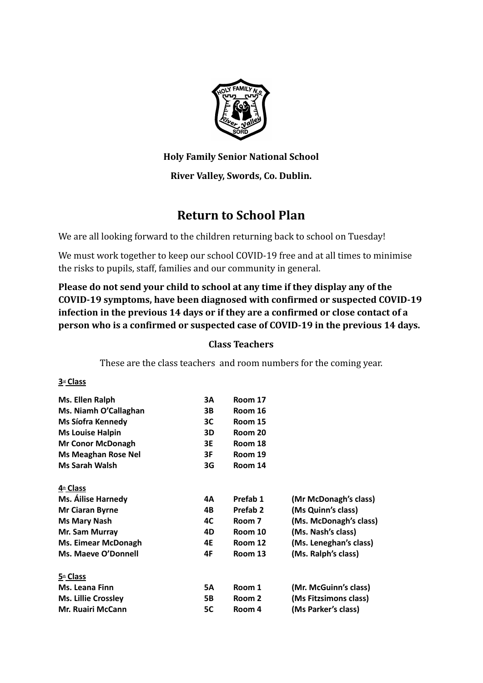

**Holy Family Senior National School**

# **River Valley, Swords, Co. Dublin.**

# **Return to School Plan**

We are all looking forward to the children returning back to school on Tuesday!

We must work together to keep our school COVID-19 free and at all times to minimise the risks to pupils, staff, families and our community in general.

**Please do not send your child to school at any time if they display any of the COVID-19 symptoms, have been diagnosed with confirmed or suspected COVID-19 infection in the previous 14 days or if they are a confirmed or close contact of a person who is a confirmed or suspected case of COVID-19 in the previous 14 days.**

### **Class Teachers**

These are the class teachers and room numbers for the coming year.

#### **3rd Class**

| Ms. Ellen Ralph            | 3A        | Room 17  |                        |
|----------------------------|-----------|----------|------------------------|
| Ms. Niamh O'Callaghan      | 3В        | Room 16  |                        |
| Ms Síofra Kennedy          | ЗC        | Room 15  |                        |
| <b>Ms Louise Halpin</b>    | 3D        | Room 20  |                        |
| <b>Mr Conor McDonagh</b>   | 3E        | Room 18  |                        |
| <b>Ms Meaghan Rose Nel</b> | 3F        | Room 19  |                        |
| <b>Ms Sarah Walsh</b>      | 3G        | Room 14  |                        |
| 4 <sup>th</sup> Class      |           |          |                        |
| <b>Ms. Ailise Harnedy</b>  | 4Α        | Prefab 1 | (Mr McDonagh's class)  |
| <b>Mr Ciaran Byrne</b>     | 4B        | Prefab 2 | (Ms Quinn's class)     |
| Ms Mary Nash               | 4C        | Room 7   | (Ms. McDonagh's class) |
| Mr. Sam Murray             | 4D        | Room 10  | (Ms. Nash's class)     |
| <b>Ms. Eimear McDonagh</b> | 4E        | Room 12  | (Ms. Leneghan's class) |
| Ms. Maeve O'Donnell        | 4F        | Room 13  | (Ms. Ralph's class)    |
| 5 <sup>th</sup> Class      |           |          |                        |
| Ms. Leana Finn             | <b>5A</b> | Room 1   | (Mr. McGuinn's class)  |
| <b>Ms. Lillie Crossley</b> | 5В        | Room 2   | (Ms Fitzsimons class)  |
| <b>Mr. Ruairi McCann</b>   | 5C        | Room 4   | (Ms Parker's class)    |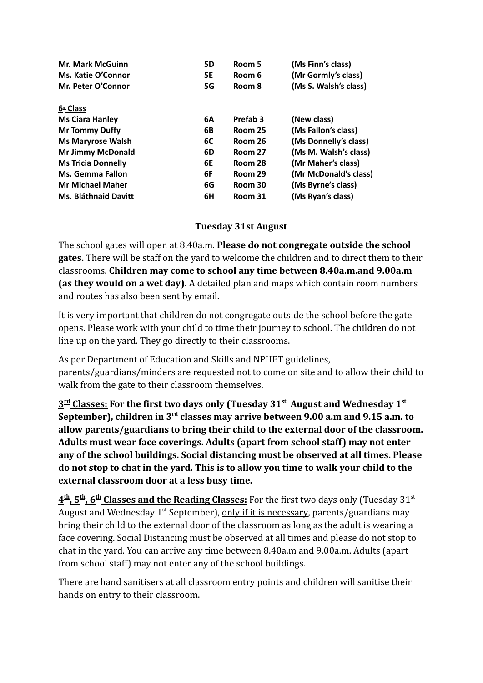| <b>Mr. Mark McGuinn</b>   | <b>5D</b> | Room 5              | (Ms Finn's class)     |
|---------------------------|-----------|---------------------|-----------------------|
| <b>Ms. Katie O'Connor</b> | 5E        | Room 6              | (Mr Gormly's class)   |
| Mr. Peter O'Connor        | 5G        | Room 8              | (Ms S. Walsh's class) |
| 6th Class                 |           |                     |                       |
| <b>Ms Ciara Hanley</b>    | 6A        | Prefab <sub>3</sub> | (New class)           |
| <b>Mr Tommy Duffy</b>     | 6B        | Room 25             | (Ms Fallon's class)   |
| <b>Ms Maryrose Walsh</b>  | 6C        | Room 26             | (Ms Donnelly's class) |
| <b>Mr Jimmy McDonald</b>  | 6D        | Room 27             | (Ms M. Walsh's class) |
| <b>Ms Tricia Donnelly</b> | 6E        | Room 28             | (Mr Maher's class)    |
| <b>Ms. Gemma Fallon</b>   | 6F        | Room 29             | (Mr McDonald's class) |
| <b>Mr Michael Maher</b>   | 6G        | Room 30             | (Ms Byrne's class)    |
| Ms. Bláthnaid Davitt      | 6H        | Room 31             | (Ms Ryan's class)     |

### **Tuesday 31st August**

The school gates will open at 8.40a.m. **Please do not congregate outside the school gates.** There will be staff on the yard to welcome the children and to direct them to their classrooms. **Children may come to school any time between 8.40a.m.and 9.00a.m (as they would on a wet day).** A detailed plan and maps which contain room numbers and routes has also been sent by email.

It is very important that children do not congregate outside the school before the gate opens. Please work with your child to time their journey to school. The children do not line up on the yard. They go directly to their classrooms.

As per Department of Education and Skills and NPHET guidelines, parents/guardians/minders are requested not to come on site and to allow their child to walk from the gate to their classroom themselves.

**3 rd Classes: For the first two days only (Tuesday 31st August and Wednesday 1st September), children in 3rd classes may arrive between 9.00 a.m and 9.15 a.m. to allow parents/guardians to bring their child to the external door of the classroom. Adults must wear face coverings. Adults (apart from school staff) may not enter any of the school buildings. Social distancing must be observed at all times. Please do not stop to chat in the yard. This is to allow you time to walk your child to the external classroom door at a less busy time.**

 $4^\text{th}$ ,  $5^\text{th}$ ,  $6^\text{th}$  Classes and the Reading Classes: For the first two days only (Tuesday 31st August and Wednesday 1<sup>st</sup> September), only if it is necessary, parents/guardians may bring their child to the external door of the classroom as long as the adult is wearing a face covering. Social Distancing must be observed at all times and please do not stop to chat in the yard. You can arrive any time between 8.40a.m and 9.00a.m. Adults (apart from school staff) may not enter any of the school buildings.

There are hand sanitisers at all classroom entry points and children will sanitise their hands on entry to their classroom.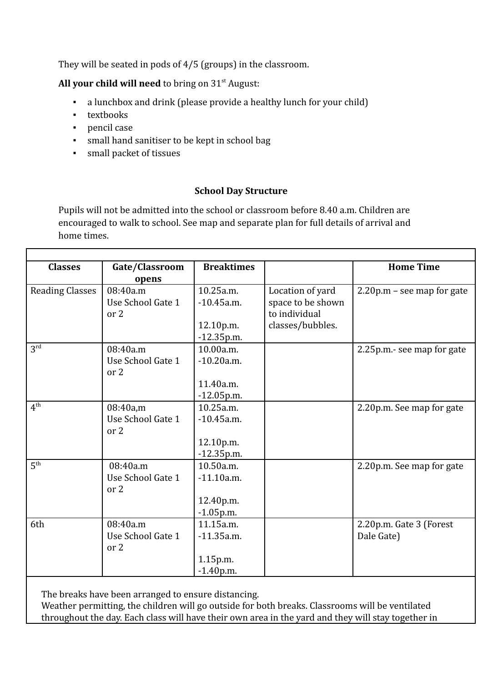They will be seated in pods of 4/5 (groups) in the classroom.

All your child will need to bring on 31<sup>st</sup> August:

- a lunchbox and drink (please provide a healthy lunch for your child)
- textbooks
- pencil case

г

- small hand sanitiser to be kept in school bag
- small packet of tissues

#### **School Day Structure**

Pupils will not be admitted into the school or classroom before 8.40 a.m. Children are encouraged to walk to school. See map and separate plan for full details of arrival and home times.

| <b>Classes</b>         | Gate/Classroom    | <b>Breaktimes</b> |                   | <b>Home Time</b>           |
|------------------------|-------------------|-------------------|-------------------|----------------------------|
|                        |                   |                   |                   |                            |
|                        | opens             |                   |                   |                            |
| <b>Reading Classes</b> | 08:40a.m          | 10.25a.m.         | Location of yard  | 2.20p.m - see map for gate |
|                        | Use School Gate 1 | $-10.45a.m.$      | space to be shown |                            |
|                        | or 2              |                   | to individual     |                            |
|                        |                   | 12.10p.m.         | classes/bubbles.  |                            |
|                        |                   | $-12.35p.m.$      |                   |                            |
| 3 <sup>rd</sup>        | 08:40a.m          | 10.00a.m.         |                   | 2.25p.m.- see map for gate |
|                        | Use School Gate 1 | $-10.20a.m.$      |                   |                            |
|                        | or 2              |                   |                   |                            |
|                        |                   | 11.40a.m.         |                   |                            |
|                        |                   | $-12.05$ p.m.     |                   |                            |
| 4 <sup>th</sup>        | 08:40a,m          | 10.25a.m.         |                   | 2.20p.m. See map for gate  |
|                        | Use School Gate 1 | $-10.45a.m.$      |                   |                            |
|                        | or 2              |                   |                   |                            |
|                        |                   | 12.10p.m.         |                   |                            |
|                        |                   | $-12.35$ p.m.     |                   |                            |
| 5 <sup>th</sup>        | 08:40a.m          | 10.50a.m.         |                   | 2.20p.m. See map for gate  |
|                        | Use School Gate 1 | $-11.10a.m.$      |                   |                            |
|                        | or 2              |                   |                   |                            |
|                        |                   | 12.40p.m.         |                   |                            |
|                        |                   | $-1.05$ p.m.      |                   |                            |
| 6th                    | 08:40a.m          | 11.15a.m.         |                   | 2.20p.m. Gate 3 (Forest    |
|                        | Use School Gate 1 | $-11.35a.m.$      |                   | Dale Gate)                 |
|                        | or 2              |                   |                   |                            |
|                        |                   | 1.15p.m.          |                   |                            |
|                        |                   | $-1.40$ p.m.      |                   |                            |
|                        |                   |                   |                   |                            |

The breaks have been arranged to ensure distancing.

Weather permitting, the children will go outside for both breaks. Classrooms will be ventilated throughout the day. Each class will have their own area in the yard and they will stay together in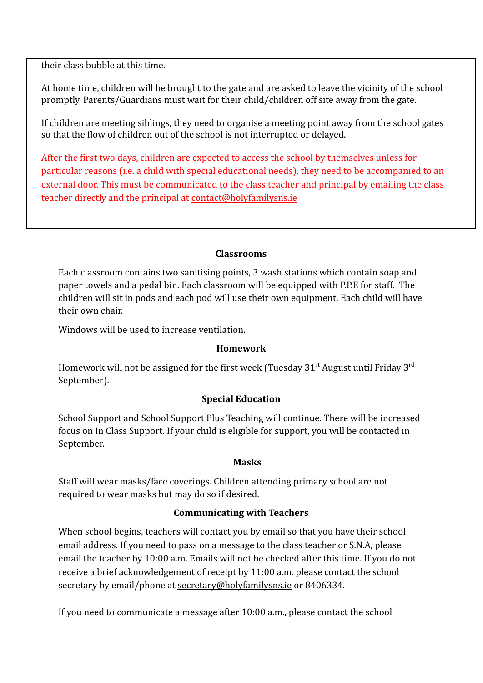their class bubble at this time.

At home time, children will be brought to the gate and are asked to leave the vicinity of the school promptly. Parents/Guardians must wait for their child/children off site away from the gate.

If children are meeting siblings, they need to organise a meeting point away from the school gates so that the flow of children out of the school is not interrupted or delayed.

After the first two days, children are expected to access the school by themselves unless for particular reasons (i.e. a child with special educational needs), they need to be accompanied to an external door. This must be communicated to the class teacher and principal by emailing the class teacher directly and the principal at [contact@holyfamilysns.ie](mailto:contact@holyfamilysns.ie)

#### **Classrooms**

Each classroom contains two sanitising points, 3 wash stations which contain soap and paper towels and a pedal bin. Each classroom will be equipped with P.P.E for staff. The children will sit in pods and each pod will use their own equipment. Each child will have their own chair.

Windows will be used to increase ventilation.

#### **Homework**

Homework will not be assigned for the first week (Tuesday  $31<sup>st</sup>$  August until Friday  $3<sup>rd</sup>$ September).

#### **Special Education**

School Support and School Support Plus Teaching will continue. There will be increased focus on In Class Support. If your child is eligible for support, you will be contacted in September.

#### **Masks**

Staff will wear masks/face coverings. Children attending primary school are not required to wear masks but may do so if desired.

#### **Communicating with Teachers**

When school begins, teachers will contact you by email so that you have their school email address. If you need to pass on a message to the class teacher or S.N.A, please email the teacher by 10:00 a.m. Emails will not be checked after this time. If you do not receive a brief acknowledgement of receipt by 11:00 a.m. please contact the school secretary by email/phone at [secretary@holyfamilysns.ie](mailto:secretary@holyfamilysns.ie) or 8406334.

If you need to communicate a message after 10:00 a.m., please contact the school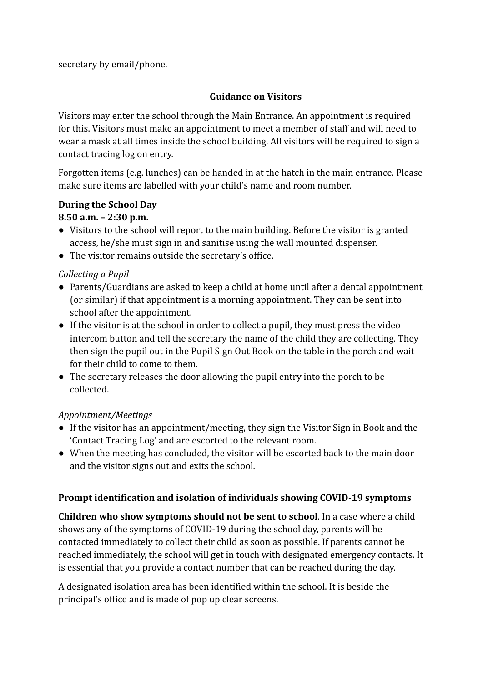secretary by email/phone.

#### **Guidance on Visitors**

Visitors may enter the school through the Main Entrance. An appointment is required for this. Visitors must make an appointment to meet a member of staff and will need to wear a mask at all times inside the school building. All visitors will be required to sign a contact tracing log on entry.

Forgotten items (e.g. lunches) can be handed in at the hatch in the main entrance. Please make sure items are labelled with your child's name and room number.

### **During the School Day**

### **8.50 a.m. – 2:30 p.m.**

- Visitors to the school will report to the main building. Before the visitor is granted access, he/she must sign in and sanitise using the wall mounted dispenser.
- The visitor remains outside the secretary's office.

### *Collecting a Pupil*

- Parents/Guardians are asked to keep a child at home until after a dental appointment (or similar) if that appointment is a morning appointment. They can be sent into school after the appointment.
- If the visitor is at the school in order to collect a pupil, they must press the video intercom button and tell the secretary the name of the child they are collecting. They then sign the pupil out in the Pupil Sign Out Book on the table in the porch and wait for their child to come to them.
- The secretary releases the door allowing the pupil entry into the porch to be collected.

### *Appointment/Meetings*

- If the visitor has an appointment/meeting, they sign the Visitor Sign in Book and the 'Contact Tracing Log' and are escorted to the relevant room.
- *●* When the meeting has concluded, the visitor will be escorted back to the main door and the visitor signs out and exits the school.

### **Prompt identification and isolation of individuals showing COVID-19 symptoms**

**Children who show symptoms should not be sent to school**. In a case where a child shows any of the symptoms of COVID-19 during the school day, parents will be contacted immediately to collect their child as soon as possible. If parents cannot be reached immediately, the school will get in touch with designated emergency contacts. It is essential that you provide a contact number that can be reached during the day.

A designated isolation area has been identified within the school. It is beside the principal's office and is made of pop up clear screens.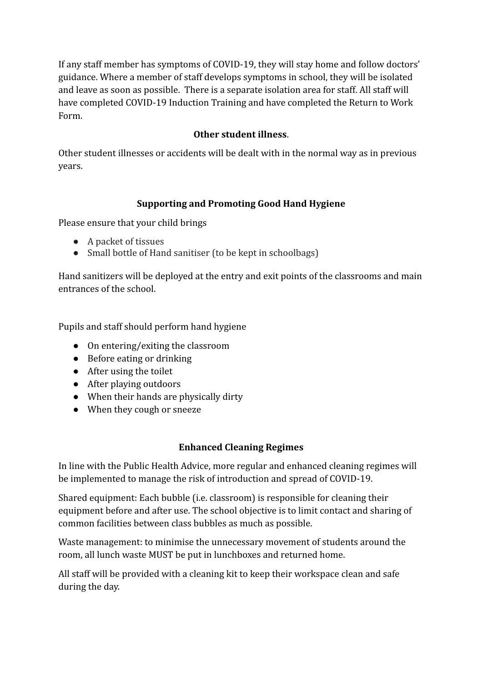If any staff member has symptoms of COVID-19, they will stay home and follow doctors' guidance. Where a member of staff develops symptoms in school, they will be isolated and leave as soon as possible. There is a separate isolation area for staff. All staff will have completed COVID-19 Induction Training and have completed the Return to Work Form.

# **Other student illness**.

Other student illnesses or accidents will be dealt with in the normal way as in previous years.

# **Supporting and Promoting Good Hand Hygiene**

Please ensure that your child brings

- A packet of tissues
- Small bottle of Hand sanitiser (to be kept in schoolbags)

Hand sanitizers will be deployed at the entry and exit points of the classrooms and main entrances of the school.

Pupils and staff should perform hand hygiene

- On entering/exiting the classroom
- Before eating or drinking
- After using the toilet
- After playing outdoors
- When their hands are physically dirty
- When they cough or sneeze

### **Enhanced Cleaning Regimes**

In line with the Public Health Advice, more regular and enhanced cleaning regimes will be implemented to manage the risk of introduction and spread of COVID-19.

Shared equipment: Each bubble (i.e. classroom) is responsible for cleaning their equipment before and after use. The school objective is to limit contact and sharing of common facilities between class bubbles as much as possible.

Waste management: to minimise the unnecessary movement of students around the room, all lunch waste MUST be put in lunchboxes and returned home.

All staff will be provided with a cleaning kit to keep their workspace clean and safe during the day.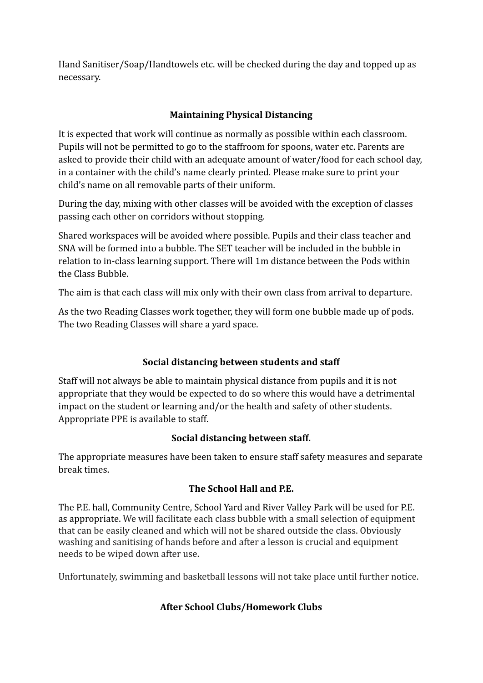Hand Sanitiser/Soap/Handtowels etc. will be checked during the day and topped up as necessary.

# **Maintaining Physical Distancing**

It is expected that work will continue as normally as possible within each classroom. Pupils will not be permitted to go to the staffroom for spoons, water etc. Parents are asked to provide their child with an adequate amount of water/food for each school day, in a container with the child's name clearly printed. Please make sure to print your child's name on all removable parts of their uniform.

During the day, mixing with other classes will be avoided with the exception of classes passing each other on corridors without stopping.

Shared workspaces will be avoided where possible. Pupils and their class teacher and SNA will be formed into a bubble. The SET teacher will be included in the bubble in relation to in-class learning support. There will 1m distance between the Pods within the Class Bubble.

The aim is that each class will mix only with their own class from arrival to departure.

As the two Reading Classes work together, they will form one bubble made up of pods. The two Reading Classes will share a yard space.

# **Social distancing between students and staff**

Staff will not always be able to maintain physical distance from pupils and it is not appropriate that they would be expected to do so where this would have a detrimental impact on the student or learning and/or the health and safety of other students. Appropriate PPE is available to staff.

### **Social distancing between staff.**

The appropriate measures have been taken to ensure staff safety measures and separate break times.

# **The School Hall and P.E.**

The P.E. hall, Community Centre, School Yard and River Valley Park will be used for P.E. as appropriate. We will facilitate each class bubble with a small selection of equipment that can be easily cleaned and which will not be shared outside the class. Obviously washing and sanitising of hands before and after a lesson is crucial and equipment needs to be wiped down after use.

Unfortunately, swimming and basketball lessons will not take place until further notice.

# **After School Clubs/Homework Clubs**